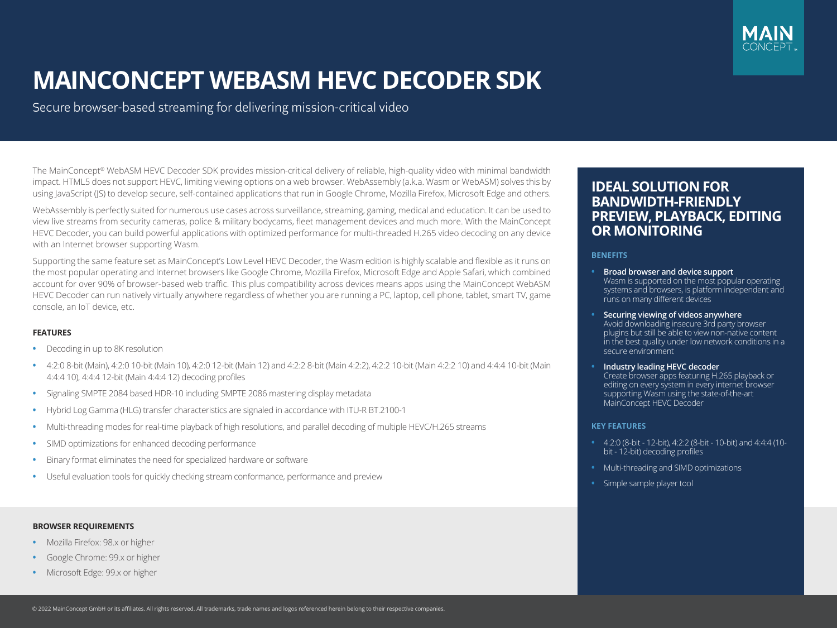

# **MAINCONCEPT WEBASM HEVC DECODER SDK**

Secure browser-based streaming for delivering mission-critical video

The MainConcept® WebASM HEVC Decoder SDK provides mission-critical delivery of reliable, high-quality video with minimal bandwidth impact. HTML5 does not support HEVC, limiting viewing options on a web browser. WebAssembly (a.k.a. Wasm or WebASM) solves this by using JavaScript (JS) to develop secure, self-contained applications that run in Google Chrome, Mozilla Firefox, Microsoft Edge and others.

WebAssembly is perfectly suited for numerous use cases across surveillance, streaming, gaming, medical and education. It can be used to view live streams from security cameras, police & military bodycams, fleet management devices and much more. With the MainConcept HEVC Decoder, you can build powerful applications with optimized performance for multi-threaded H.265 video decoding on any device with an Internet browser supporting Wasm.

Supporting the same feature set as MainConcept's Low Level HEVC Decoder, the Wasm edition is highly scalable and flexible as it runs on the most popular operating and Internet browsers like Google Chrome, Mozilla Firefox, Microsoft Edge and Apple Safari, which combined account for over 90% of browser-based web traffic. This plus compatibility across devices means apps using the MainConcept WebASM HEVC Decoder can run natively virtually anywhere regardless of whether you are running a PC, laptop, cell phone, tablet, smart TV, game console, an IoT device, etc.

# **FEATURES**

- **•** Decoding in up to 8K resolution
- **•** 4:2:0 8-bit (Main), 4:2:0 10-bit (Main 10), 4:2:0 12-bit (Main 12) and 4:2:2 8-bit (Main 4:2:2), 4:2:2 10-bit (Main 4:2:2 10) and 4:4:4 10-bit (Main 4:4:4 10), 4:4:4 12-bit (Main 4:4:4 12) decoding profiles
- **•** Signaling SMPTE 2084 based HDR-10 including SMPTE 2086 mastering display metadata
- **•** Hybrid Log Gamma (HLG) transfer characteristics are signaled in accordance with ITU-R BT.2100-1
- **•** Multi-threading modes for real-time playback of high resolutions, and parallel decoding of multiple HEVC/H.265 streams
- **•** SIMD optimizations for enhanced decoding performance
- **•** Binary format eliminates the need for specialized hardware or software
- **•** Useful evaluation tools for quickly checking stream conformance, performance and preview

### **BROWSER REQUIREMENTS**

- **•** Mozilla Firefox: 98.x or higher
- **•** Google Chrome: 99.x or higher
- **•** Microsoft Edge: 99.x or higher

# **IDEAL SOLUTION FOR BANDWIDTH-FRIENDLY PREVIEW, PLAYBACK, EDITING OR MONITORING**

#### **BENEFITS**

- **• Broad browser and device support** Wasm is supported on the most popular operating systems and browsers, is platform independent and runs on many different devices
- **• Securing viewing of videos anywhere** Avoid downloading insecure 3rd party browser plugins but still be able to view non-native content in the best quality under low network conditions in a secure environment
- **• Industry leading HEVC decoder**  Create browser apps featuring H.265 playback or editing on every system in every internet browser supporting Wasm using the state-of-the-art MainConcept HEVC Decoder

#### **KEY FEATURES**

- **•** 4:2:0 (8-bit 12-bit), 4:2:2 (8-bit 10-bit) and 4:4:4 (10 bit - 12-bit) decoding profiles
- **•** Multi-threading and SIMD optimizations
- **•** Simple sample player tool